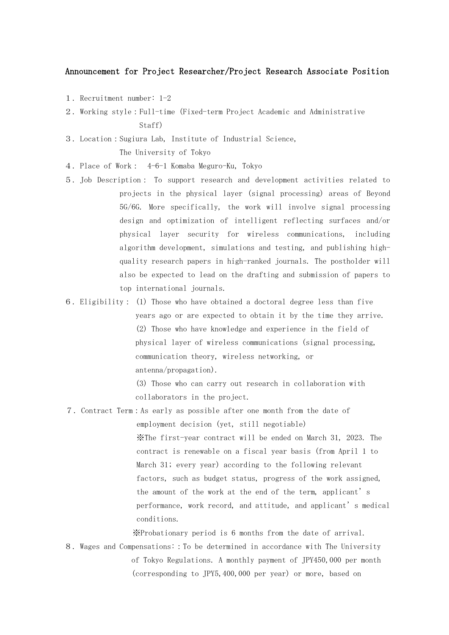## Announcement for Project Researcher/Project Research Associate Position

- 1. Recruitment number: 1-2
- 2.Working style:Full-time (Fixed-term Project Academic and Administrative Staff)
- 3.Location:Sugiura Lab, Institute of Industrial Science, The University of Tokyo
- 4.Place of Work: 4-6-1 Komaba Meguro-Ku, Tokyo
- 5.Job Description: To support research and development activities related to projects in the physical layer (signal processing) areas of Beyond 5G/6G. More specifically, the work will involve signal processing design and optimization of intelligent reflecting surfaces and/or physical layer security for wireless communications, including algorithm development, simulations and testing, and publishing highquality research papers in high-ranked journals. The postholder will also be expected to lead on the drafting and submission of papers to top international journals.
- 6.Eligibility: (1) Those who have obtained a doctoral degree less than five years ago or are expected to obtain it by the time they arrive. (2) Those who have knowledge and experience in the field of physical layer of wireless communications (signal processing, communication theory, wireless networking, or antenna/propagation).

(3) Those who can carry out research in collaboration with collaborators in the project.

7.Contract Term:As early as possible after one month from the date of

employment decision (yet, still negotiable) ※The first-year contract will be ended on March 31, 2023. The contract is renewable on a fiscal year basis (from April 1 to March 31; every year) according to the following relevant factors, such as budget status, progress of the work assigned, the amount of the work at the end of the term, applicant's performance, work record, and attitude, and applicant's medical conditions.

※Probationary period is 6 months from the date of arrival.

8.Wages and Compensations::To be determined in accordance with The University of Tokyo Regulations. A monthly payment of JPY450,000 per month (corresponding to JPY5,400,000 per year) or more, based on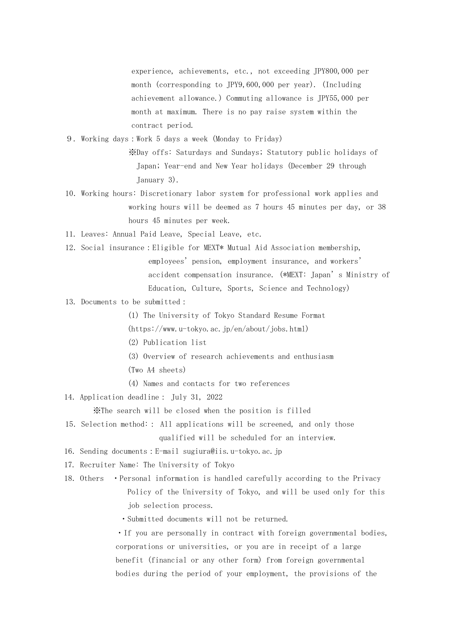experience, achievements, etc., not exceeding JPY800,000 per month (corresponding to JPY9,600,000 per year). (Including achievement allowance.) Commuting allowance is JPY55,000 per month at maximum. There is no pay raise system within the contract period.

9. Working days:Work 5 days a week (Monday to Friday)

※Day offs: Saturdays and Sundays; Statutory public holidays of Japan; Year-end and New Year holidays (December 29 through January 3).

- 10.Working hours: Discretionary labor system for professional work applies and working hours will be deemed as 7 hours 45 minutes per day, or 38 hours 45 minutes per week.
- 11. Leaves: Annual Paid Leave, Special Leave, etc.
- 12.Social insurance:Eligible for MEXT\* Mutual Aid Association membership, employees'pension, employment insurance, and workers' accident compensation insurance. (\*MEXT: Japan's Ministry of Education, Culture, Sports, Science and Technology)
- 13. Documents to be submitted:
	- (1) The University of Tokyo Standard Resume Format
	- (https://www.u-tokyo.ac.jp/en/about/jobs.html)
	- (2) Publication list
	- (3) Overview of research achievements and enthusiasm
	- (Two A4 sheets)
	- (4) Names and contacts for two references

14.Application deadline: July 31, 2022

※The search will be closed when the position is filled

- 15.Selection method:: All applications will be screened, and only those qualified will be scheduled for an interview.
- 16.Sending documents:E-mail sugiura@iis.u-tokyo.ac.jp
- 17. Recruiter Name: The University of Tokyo
- 18.Others ・Personal information is handled carefully according to the Privacy Policy of the University of Tokyo, and will be used only for this job selection process.
	- ・Submitted documents will not be returned.

・If you are personally in contract with foreign governmental bodies, corporations or universities, or you are in receipt of a large benefit (financial or any other form) from foreign governmental bodies during the period of your employment, the provisions of the